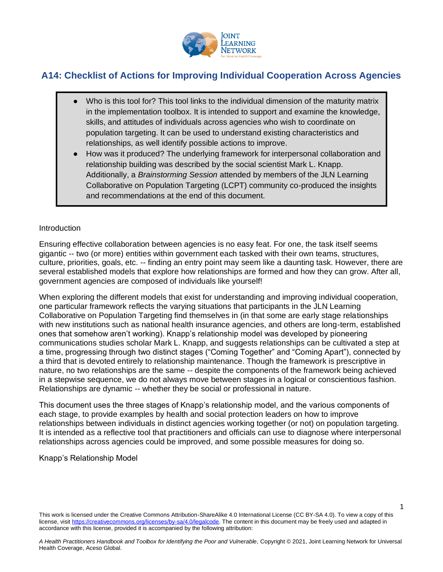

# **A14: Checklist of Actions for Improving Individual Cooperation Across Agencies**

- Who is this tool for? This tool links to the individual dimension of the maturity matrix in the implementation toolbox. It is intended to support and examine the knowledge, skills, and attitudes of individuals across agencies who wish to coordinate on population targeting. It can be used to understand existing characteristics and relationships, as well identify possible actions to improve.
- How was it produced? The underlying framework for interpersonal collaboration and relationship building was described by the social scientist Mark L. Knapp. Additionally, a *Brainstorming Session* attended by members of the JLN Learning Collaborative on Population Targeting (LCPT) community co-produced the insights and recommendations at the end of this document.

#### **Introduction**

Ensuring effective collaboration between agencies is no easy feat. For one, the task itself seems gigantic -- two (or more) entities within government each tasked with their own teams, structures, culture, priorities, goals, etc. -- finding an entry point may seem like a daunting task. However, there are several established models that explore how relationships are formed and how they can grow. After all, government agencies are composed of individuals like yourself!

When exploring the different models that exist for understanding and improving individual cooperation, one particular framework reflects the varying situations that participants in the JLN Learning Collaborative on Population Targeting find themselves in (in that some are early stage relationships with new institutions such as national health insurance agencies, and others are long-term, established ones that somehow aren't working). Knapp's relationship model was developed by pioneering communications studies scholar Mark L. Knapp, and suggests relationships can be cultivated a step at a time, progressing through two distinct stages ("Coming Together" and "Coming Apart"), connected by a third that is devoted entirely to relationship maintenance. Though the framework is prescriptive in nature, no two relationships are the same -- despite the components of the framework being achieved in a stepwise sequence, we do not always move between stages in a logical or conscientious fashion. Relationships are dynamic -- whether they be social or professional in nature.

This document uses the three stages of Knapp's relationship model, and the various components of each stage, to provide examples by health and social protection leaders on how to improve relationships between individuals in distinct agencies working together (or not) on population targeting. It is intended as a reflective tool that practitioners and officials can use to diagnose where interpersonal relationships across agencies could be improved, and some possible measures for doing so.

#### Knapp's Relationship Model

This work is licensed under the Creative Commons Attribution-ShareAlike 4.0 International License (CC BY-SA 4.0). To view a copy of this license, visi[t https://creativecommons.org/licenses/by-sa/4.0/legalcode.](https://creativecommons.org/licenses/by-sa/4.0/legalcode) The content in this document may be freely used and adapted in accordance with this license, provided it is accompanied by the following attribution:

1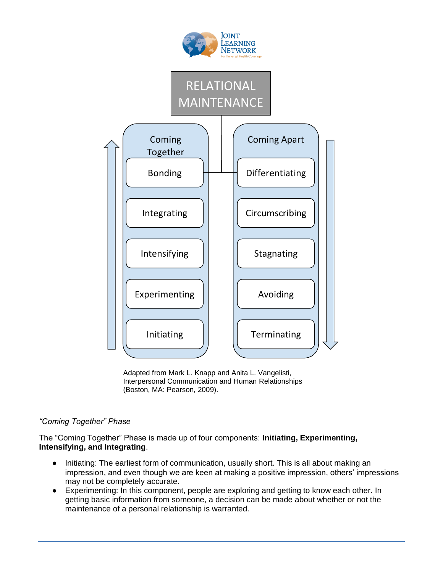

Adapted from Mark L. Knapp and Anita L. Vangelisti, Interpersonal Communication and Human Relationships (Boston, MA: Pearson, 2009).

## *"Coming Together" Phase*

The "Coming Together" Phase is made up of four components: **Initiating, Experimenting, Intensifying, and Integrating**.

- Initiating: The earliest form of communication, usually short. This is all about making an impression, and even though we are keen at making a positive impression, others' impressions may not be completely accurate.
- Experimenting: In this component, people are exploring and getting to know each other. In getting basic information from someone, a decision can be made about whether or not the maintenance of a personal relationship is warranted.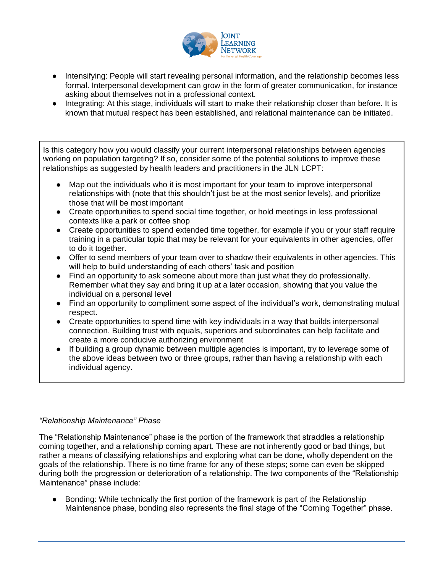

- Intensifying: People will start revealing personal information, and the relationship becomes less formal. Interpersonal development can grow in the form of greater communication, for instance asking about themselves not in a professional context.
- Integrating: At this stage, individuals will start to make their relationship closer than before. It is known that mutual respect has been established, and relational maintenance can be initiated.

Is this category how you would classify your current interpersonal relationships between agencies working on population targeting? If so, consider some of the potential solutions to improve these relationships as suggested by health leaders and practitioners in the JLN LCPT:

- Map out the individuals who it is most important for your team to improve interpersonal relationships with (note that this shouldn't just be at the most senior levels), and prioritize those that will be most important
- Create opportunities to spend social time together, or hold meetings in less professional contexts like a park or coffee shop
- Create opportunities to spend extended time together, for example if you or your staff require training in a particular topic that may be relevant for your equivalents in other agencies, offer to do it together.
- Offer to send members of your team over to shadow their equivalents in other agencies. This will help to build understanding of each others' task and position
- Find an opportunity to ask someone about more than just what they do professionally. Remember what they say and bring it up at a later occasion, showing that you value the individual on a personal level
- Find an opportunity to compliment some aspect of the individual's work, demonstrating mutual respect.
- Create opportunities to spend time with key individuals in a way that builds interpersonal connection. Building trust with equals, superiors and subordinates can help facilitate and create a more conducive authorizing environment
- If building a group dynamic between multiple agencies is important, try to leverage some of the above ideas between two or three groups, rather than having a relationship with each individual agency.

## *"Relationship Maintenance" Phase*

The "Relationship Maintenance" phase is the portion of the framework that straddles a relationship coming together, and a relationship coming apart. These are not inherently good or bad things, but rather a means of classifying relationships and exploring what can be done, wholly dependent on the goals of the relationship. There is no time frame for any of these steps; some can even be skipped during both the progression or deterioration of a relationship. The two components of the "Relationship Maintenance" phase include:

● Bonding: While technically the first portion of the framework is part of the Relationship Maintenance phase, bonding also represents the final stage of the "Coming Together" phase.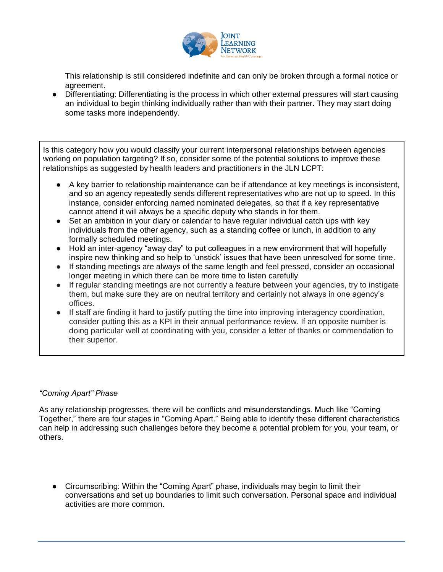

This relationship is still considered indefinite and can only be broken through a formal notice or agreement.

● Differentiating: Differentiating is the process in which other external pressures will start causing an individual to begin thinking individually rather than with their partner. They may start doing some tasks more independently.

Is this category how you would classify your current interpersonal relationships between agencies working on population targeting? If so, consider some of the potential solutions to improve these relationships as suggested by health leaders and practitioners in the JLN LCPT:

- A key barrier to relationship maintenance can be if attendance at key meetings is inconsistent, and so an agency repeatedly sends different representatives who are not up to speed. In this instance, consider enforcing named nominated delegates, so that if a key representative cannot attend it will always be a specific deputy who stands in for them.
- Set an ambition in your diary or calendar to have regular individual catch ups with key individuals from the other agency, such as a standing coffee or lunch, in addition to any formally scheduled meetings.
- Hold an inter-agency "away day" to put colleagues in a new environment that will hopefully inspire new thinking and so help to 'unstick' issues that have been unresolved for some time.
- If standing meetings are always of the same length and feel pressed, consider an occasional longer meeting in which there can be more time to listen carefully
- If regular standing meetings are not currently a feature between your agencies, try to instigate them, but make sure they are on neutral territory and certainly not always in one agency's offices.
- If staff are finding it hard to justify putting the time into improving interagency coordination, consider putting this as a KPI in their annual performance review. If an opposite number is doing particular well at coordinating with you, consider a letter of thanks or commendation to their superior.

#### *"Coming Apart" Phase*

As any relationship progresses, there will be conflicts and misunderstandings. Much like "Coming Together," there are four stages in "Coming Apart." Being able to identify these different characteristics can help in addressing such challenges before they become a potential problem for you, your team, or others.

● Circumscribing: Within the "Coming Apart" phase, individuals may begin to limit their conversations and set up boundaries to limit such conversation. Personal space and individual activities are more common.